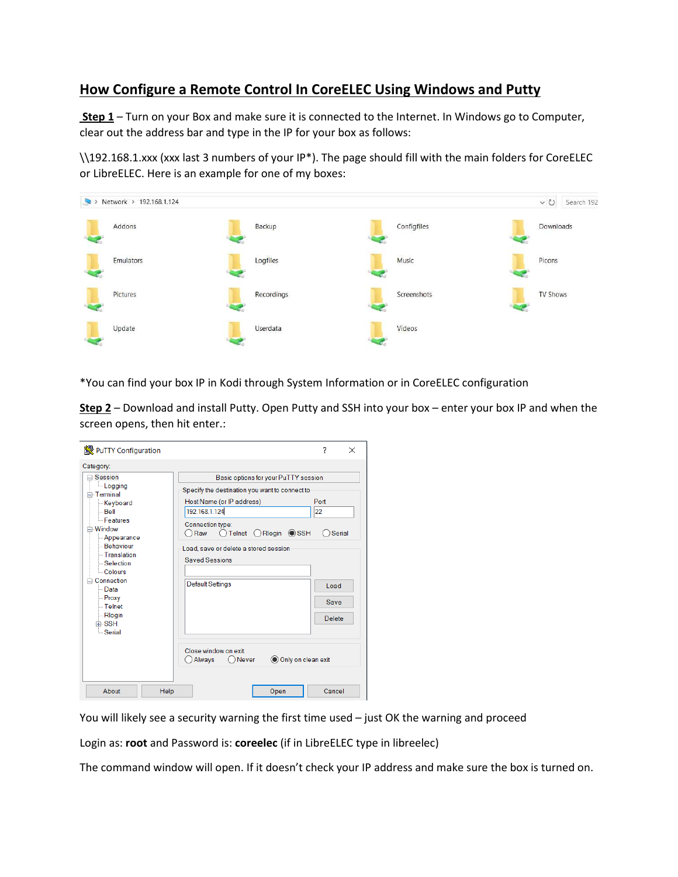## **How Configure a Remote Control In CoreELEC Using Windows and Putty**

 **Step 1** – Turn on your Box and make sure it is connected to the Internet. In Windows go to Computer, clear out the address bar and type in the IP for your box as follows:

\\192.168.1.xxx (xxx last 3 numbers of your IP\*). The page should fill with the main folders for CoreELEC or LibreELEC. Here is an example for one of my boxes:



\*You can find your box IP in Kodi through System Information or in CoreELEC configuration

**Step 2** – Download and install Putty. Open Putty and SSH into your box – enter your box IP and when the screen opens, then hit enter.:

| PuTTY Configuration                                                                                                                                                                                                                                                                       |                                                                                                                                                                                                                                                                                                                                                           | 7<br>$\times$                                  |
|-------------------------------------------------------------------------------------------------------------------------------------------------------------------------------------------------------------------------------------------------------------------------------------------|-----------------------------------------------------------------------------------------------------------------------------------------------------------------------------------------------------------------------------------------------------------------------------------------------------------------------------------------------------------|------------------------------------------------|
| Category:                                                                                                                                                                                                                                                                                 |                                                                                                                                                                                                                                                                                                                                                           |                                                |
| ⊟-Session<br>Logging<br>⊟-Terminal<br><b>Keyboard</b><br>$-$ Bell<br><b>Features</b><br><b>⊟</b> -Window<br>- Appearance<br><b>Behaviour</b><br>- Translation<br>-Selection<br>- Colours<br><b>⊟</b> -Connection<br>⊟ Data<br>- Proxy<br>$-$ Telnet<br>- Rlogin<br>中·SSH<br><b>Serial</b> | Basic options for your PuTTY session<br>Specify the destination you want to connect to<br>Host Name (or IP address)<br>192.168.1.124<br>Connection type:<br>○Telnet ○Rlogin ● SSH<br>○ Raw<br>Load, save or delete a stored session<br><b>Saved Sessions</b><br><b>Default Settings</b><br>Close window on exit<br>Only on clean exit<br>Always<br>ONever | Port<br>22<br>Serial<br>Load<br>Save<br>Delete |
| About<br>Help                                                                                                                                                                                                                                                                             | Open                                                                                                                                                                                                                                                                                                                                                      | Cancel                                         |

You will likely see a security warning the first time used – just OK the warning and proceed

Login as: **root** and Password is: **coreelec** (if in LibreELEC type in libreelec)

The command window will open. If it doesn't check your IP address and make sure the box is turned on.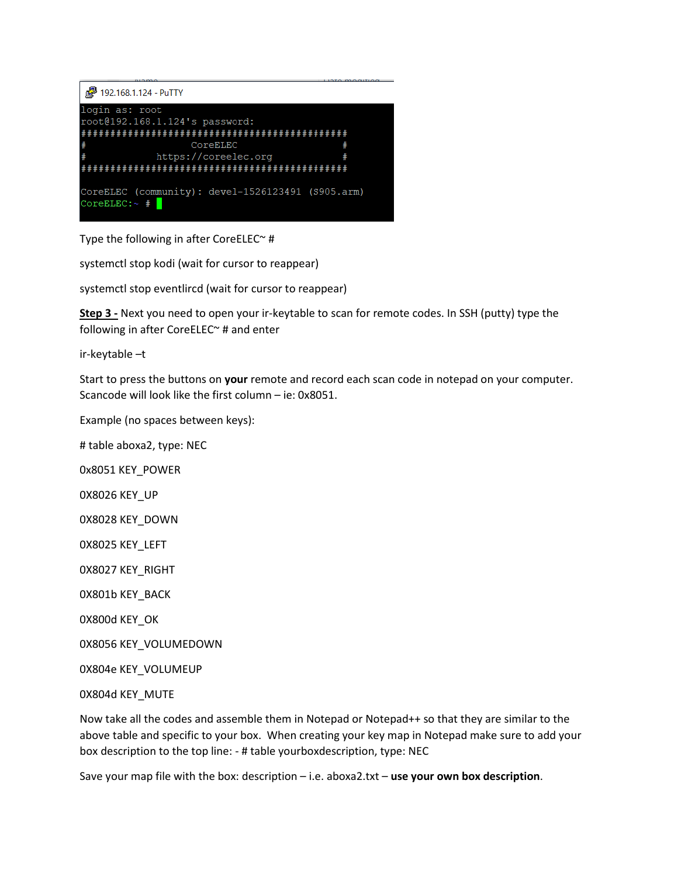

Type the following in after CoreELEC $\sim$  #

systemctl stop kodi (wait for cursor to reappear)

systemctl stop eventlircd (wait for cursor to reappear)

**Step 3 -** Next you need to open your ir-keytable to scan for remote codes. In SSH (putty) type the following in after CoreELEC~ # and enter

ir-keytable –t

Start to press the buttons on **your** remote and record each scan code in notepad on your computer. Scancode will look like the first column – ie: 0x8051.

Example (no spaces between keys):

# table aboxa2, type: NEC

0x8051 KEY\_POWER

0X8026 KEY\_UP

0X8028 KEY\_DOWN

0X8025 KEY\_LEFT

0X8027 KEY\_RIGHT

0X801b KEY\_BACK

0X800d KEY\_OK

0X8056 KEY\_VOLUMEDOWN

0X804e KEY\_VOLUMEUP

0X804d KEY\_MUTE

Now take all the codes and assemble them in Notepad or Notepad++ so that they are similar to the above table and specific to your box. When creating your key map in Notepad make sure to add your box description to the top line: - # table yourboxdescription, type: NEC

Save your map file with the box: description – i.e. aboxa2.txt – **use your own box description**.